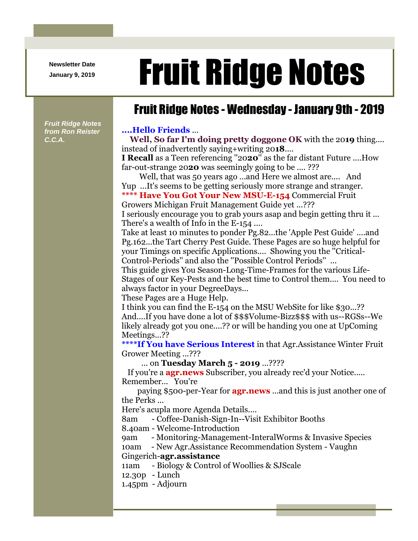**Newsletter Date**

# Newsletter Date **Fruit Ridge Notes**

## Fruit Ridge Notes - Wednesday - January 9th - 2019

*Fruit Ridge Notes from Ron Reister C.C.A.*

#### **....Hello Friends** ...

**Well, So far I'm doing pretty doggone OK** with the 20**19** thing.... instead of inadvertently saying+writing 20**18**....

**I Recall** as a Teen referencing ''20**20**'' as the far distant Future ....How far-out-strange 20**20** was seemingly going to be .... ???

Well, that was 50 years ago ...and Here we almost are.... And Yup ...It's seems to be getting seriously more strange and stranger.

**\*\*\*\* Have You Got Your New MSU-E-154** Commercial Fruit Growers Michigan Fruit Management Guide yet ...???

I seriously encourage you to grab yours asap and begin getting thru it ... There's a wealth of Info in the E-154 ....

Take at least 10 minutes to ponder Pg.82...the 'Apple Pest Guide' ....and Pg.162...the Tart Cherry Pest Guide. These Pages are so huge helpful for your Timings on specific Applications.... Showing you the ''Critical-Control-Periods'' and also the ''Possible Control Periods'' ...

This guide gives You Season-Long-Time-Frames for the various Life-Stages of our Key-Pests and the best time to Control them.... You need to always factor in your DegreeDays...

These Pages are a Huge Help.

I think you can find the E-154 on the MSU WebSite for like \$30...?? And....If you have done a lot of \$\$\$Volume-Bizz\$\$\$ with us--RGSs--We likely already got you one....?? or will be handing you one at UpComing Meetings...??

**\*\*\*\*If You have Serious Interest** in that Agr.Assistance Winter Fruit Grower Meeting ...???

... on **Tuesday March 5 - 2019** ...????

If you're a **agr.news** Subscriber, you already rec'd your Notice..... Remember... You're

paying \$500-per-Year for **agr.news** ...and this is just another one of the Perks ...

Here's acupla more Agenda Details....

8am - Coffee-Danish-Sign-In--Visit Exhibitor Booths

8.40am - Welcome-Introduction

9am - Monitoring-Management-InteralWorms & Invasive Species

10am - New Agr.Assistance Recommendation System - Vaughn

#### Gingerich-**agr.assistance**

11am - Biology & Control of Woollies & SJScale

12.30p - Lunch

1.45pm - Adjourn